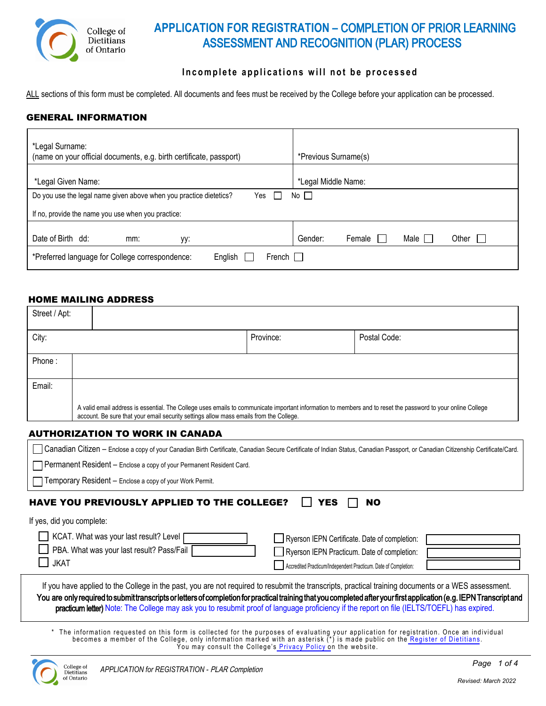

# **APPLICATION FOR REGISTRATION –** COMPLETION OF PRIOR LEARNING ASSESSMENT AND RECOGNITION (PLAR) PROCESS

### **Incomplete applications will not be processed**

ALL sections of this form must be completed. All documents and fees must be received by the College before your application can be processed.

#### GENERAL INFORMATION

| *Legal Surname:<br>(name on your official documents, e.g. birth certificate, passport)    | *Previous Surname(s)               |  |
|-------------------------------------------------------------------------------------------|------------------------------------|--|
| *Legal Given Name:                                                                        | *Legal Middle Name:                |  |
| No $\square$<br>Do you use the legal name given above when you practice dietetics?<br>Yes |                                    |  |
| If no, provide the name you use when you practice:                                        |                                    |  |
|                                                                                           |                                    |  |
| Date of Birth dd:<br>mm:<br>уу:                                                           | Male<br>Gender:<br>Other<br>Female |  |
| French $\Box$<br>*Preferred language for College correspondence:<br>English               |                                    |  |

#### HOME MAILING ADDRESS

| Street / Apt: |                                                                                                                                                                                                                                                        |           |              |
|---------------|--------------------------------------------------------------------------------------------------------------------------------------------------------------------------------------------------------------------------------------------------------|-----------|--------------|
| City:         |                                                                                                                                                                                                                                                        | Province: | Postal Code: |
| Phone:        |                                                                                                                                                                                                                                                        |           |              |
| Email:        |                                                                                                                                                                                                                                                        |           |              |
|               | A valid email address is essential. The College uses emails to communicate important information to members and to reset the password to your online College<br>account. Be sure that your email security settings allow mass emails from the College. |           |              |

#### AUTHORIZATION TO WORK IN CANADA

| Canadian Citizen - Enclose a copy of your Canadian Birth Certificate, Canadian Secure Certificate of Indian Status, Canadian Passport, or Canadian Citizenship Certificate/Card.                                                                                                                                    |                                                                 |  |
|---------------------------------------------------------------------------------------------------------------------------------------------------------------------------------------------------------------------------------------------------------------------------------------------------------------------|-----------------------------------------------------------------|--|
| Permanent Resident - Enclose a copy of your Permanent Resident Card.                                                                                                                                                                                                                                                |                                                                 |  |
| $\Box$ Temporary Resident $-$ Enclose a copy of your Work Permit.                                                                                                                                                                                                                                                   |                                                                 |  |
| <b>HAVE YOU PREVIOUSLY APPLIED TO THE COLLEGE?</b>                                                                                                                                                                                                                                                                  | YES<br>NO                                                       |  |
| If yes, did you complete:                                                                                                                                                                                                                                                                                           |                                                                 |  |
| KCAT. What was your last result? Level                                                                                                                                                                                                                                                                              | Ryerson IEPN Certificate. Date of completion:                   |  |
| PBA. What was your last result? Pass/Fail                                                                                                                                                                                                                                                                           | Ryerson IEPN Practicum. Date of completion:                     |  |
| <b>JKAT</b>                                                                                                                                                                                                                                                                                                         | Accredited Practicum/Independent Practicum. Date of Completion: |  |
| If you have applied to the College in the past, you are not required to resubmit the transcripts, practical training documents or a WES assessment.                                                                                                                                                                 |                                                                 |  |
| You are only required to submit transcripts or letters of completion for practical training that you completed after your first application (e.g. IEPN Transcript and<br>practicum letter) Note: The College may ask you to resubmit proof of language proficiency if the report on file (IELTS/TOEFL) has expired. |                                                                 |  |
|                                                                                                                                                                                                                                                                                                                     |                                                                 |  |

\* The information requested on this form is collected for the purposes of evaluating your application for registration. Once an individual \*<br>becomes a member of the College, only information marked with an asterisk (\*) is You may consult the College's [Privacy](http://www.collegeofdietitians.org/privacy-policy.aspx) Policy on the website.

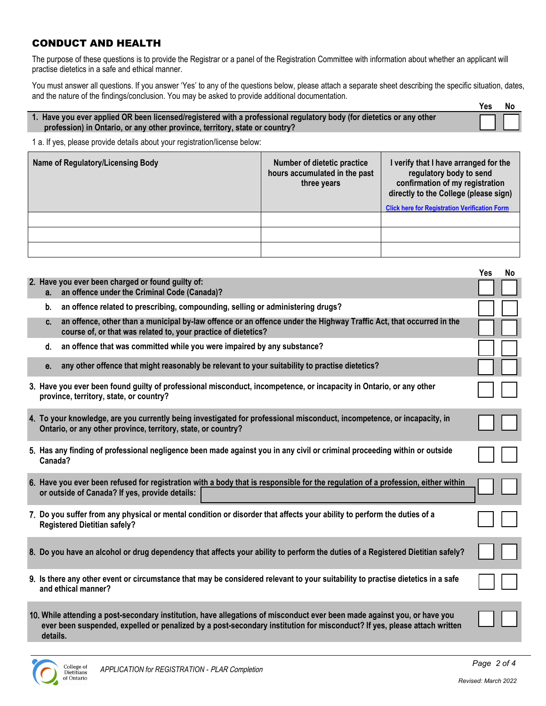### CONDUCT AND HEALTH

The purpose of these questions is to provide the Registrar or a panel of the Registration Committee with information about whether an applicant will practise dietetics in a safe and ethical manner.

You must answer all questions. If you answer 'Yes' to any of the questions below, please attach a separate sheet describing the specific situation, dates, and the nature of the findings/conclusion. You may be asked to provide additional documentation. **Yes No**

|                                                                                                                      | 1 C.S | <b>IVU</b> |
|----------------------------------------------------------------------------------------------------------------------|-------|------------|
| 1. Have you ever applied OR been licensed/registered with a professional regulatory body (for dietetics or any other |       |            |
| profession) in Ontario, or any other province, territory, state or country?                                          |       |            |

1 a. If yes, please provide details about your registration/license below:

| Name of Regulatory/Licensing Body | <b>Number of dietetic practice</b><br>hours accumulated in the past<br>three years | I verify that I have arranged for the<br>regulatory body to send<br>confirmation of my registration<br>directly to the College (please sign) |
|-----------------------------------|------------------------------------------------------------------------------------|----------------------------------------------------------------------------------------------------------------------------------------------|
|                                   |                                                                                    | <b>Click here for Registration Verification Form</b>                                                                                         |
|                                   |                                                                                    |                                                                                                                                              |
|                                   |                                                                                    |                                                                                                                                              |
|                                   |                                                                                    |                                                                                                                                              |

|                                                                                                                                                                                                                                                                  | <b>Yes</b> | No |  |
|------------------------------------------------------------------------------------------------------------------------------------------------------------------------------------------------------------------------------------------------------------------|------------|----|--|
| 2. Have you ever been charged or found guilty of:<br>an offence under the Criminal Code (Canada)?<br>а. –                                                                                                                                                        |            |    |  |
| an offence related to prescribing, compounding, selling or administering drugs?<br>b.                                                                                                                                                                            |            |    |  |
| an offence, other than a municipal by-law offence or an offence under the Highway Traffic Act, that occurred in the<br>C.<br>course of, or that was related to, your practice of dietetics?                                                                      |            |    |  |
| an offence that was committed while you were impaired by any substance?<br>d.                                                                                                                                                                                    |            |    |  |
| any other offence that might reasonably be relevant to your suitability to practise dietetics?<br>е.                                                                                                                                                             |            |    |  |
| 3. Have you ever been found guilty of professional misconduct, incompetence, or incapacity in Ontario, or any other<br>province, territory, state, or country?                                                                                                   |            |    |  |
| 4. To your knowledge, are you currently being investigated for professional misconduct, incompetence, or incapacity, in<br>Ontario, or any other province, territory, state, or country?                                                                         |            |    |  |
| 5. Has any finding of professional negligence been made against you in any civil or criminal proceeding within or outside<br>Canada?                                                                                                                             |            |    |  |
| 6. Have you ever been refused for registration with a body that is responsible for the regulation of a profession, either within<br>or outside of Canada? If yes, provide details:                                                                               |            |    |  |
| 7. Do you suffer from any physical or mental condition or disorder that affects your ability to perform the duties of a<br><b>Registered Dietitian safely?</b>                                                                                                   |            |    |  |
| 8. Do you have an alcohol or drug dependency that affects your ability to perform the duties of a Registered Dietitian safely?                                                                                                                                   |            |    |  |
| 9. Is there any other event or circumstance that may be considered relevant to your suitability to practise dietetics in a safe<br>and ethical manner?                                                                                                           |            |    |  |
| 10. While attending a post-secondary institution, have allegations of misconduct ever been made against you, or have you<br>ever been suspended, expelled or penalized by a post-secondary institution for misconduct? If yes, please attach written<br>details. |            |    |  |

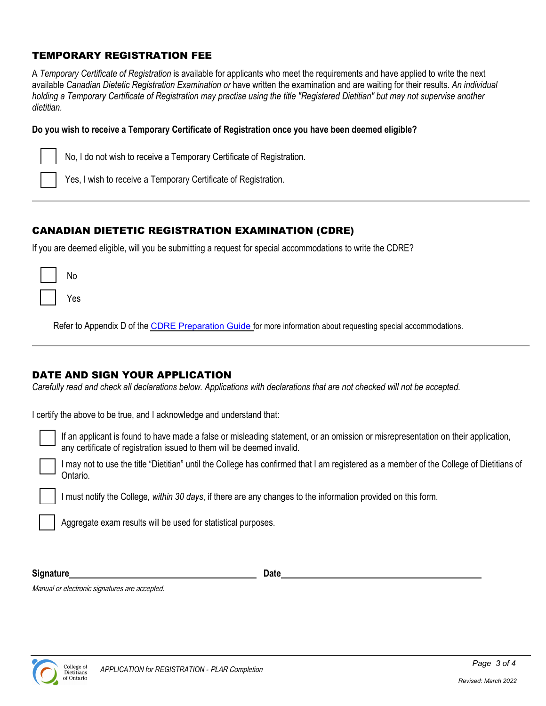### TEMPORARY REGISTRATION FEE

A *Temporary Certificate of Registration* is available for applicants who meet the requirements and have applied to write the next available *Canadian Dietetic Registration Examination or* have written the examination and are waiting for their results. *An individual holding a Temporary Certificate of Registration may practise using the title "Registered Dietitian" but may not supervise another dietitian.*

#### **Do you wish to receive a Temporary Certificate of Registration once you have been deemed eligible?**

No, I do not wish to receive a Temporary Certificate of Registration.

Yes, I wish to receive a Temporary Certificate of Registration.

## CANADIAN DIETETIC REGISTRATION EXAMINATION (CDRE)

If you are deemed eligible, will you be submitting a request for special accommodations to write the CDRE?

| No  |
|-----|
| Yes |

Refer to Appendix D of the CDRE [Preparation Guide](https://www.collegeofdietitians.org/resources/registration/registration-exam/cdre-preparation-guide.aspx) for more information about requesting special accommodations.

### DATE AND SIGN YOUR APPLICATION

*Carefully read and check all declarations below. Applications with declarations that are not checked will not be accepted.* 

I certify the above to be true, and I acknowledge and understand that:

If an applicant is found to have made a false or misleading statement, or an omission or misrepresentation on their application, any certificate of registration issued to them will be deemed invalid.

I may not to use the title "Dietitian" until the College has confirmed that I am registered as a member of the College of Dietitians of Ontario.

I must notify the College*, within 30 days*, if there are any changes to the information provided on this form.

Aggregate exam results will be used for statistical purposes.

**Signature Date** 

Manual or electronic signatures are accepted.